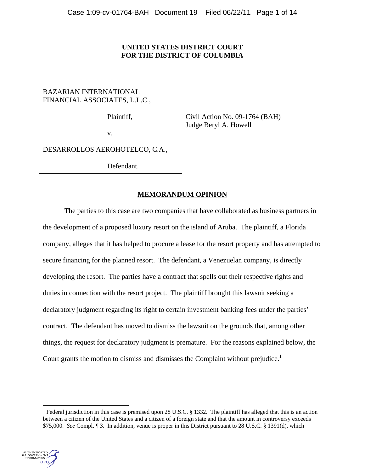# **UNITED STATES DISTRICT COURT FOR THE DISTRICT OF COLUMBIA**

BAZARIAN INTERNATIONAL FINANCIAL ASSOCIATES, L.L.C.,

Plaintiff,

Civil Action No. 09-1764 (BAH) Judge Beryl A. Howell

v.

DESARROLLOS AEROHOTELCO, C.A.,

Defendant.

# **MEMORANDUM OPINION**

The parties to this case are two companies that have collaborated as business partners in the development of a proposed luxury resort on the island of Aruba. The plaintiff, a Florida company, alleges that it has helped to procure a lease for the resort property and has attempted to secure financing for the planned resort. The defendant, a Venezuelan company, is directly developing the resort. The parties have a contract that spells out their respective rights and duties in connection with the resort project. The plaintiff brought this lawsuit seeking a declaratory judgment regarding its right to certain investment banking fees under the parties' contract. The defendant has moved to dismiss the lawsuit on the grounds that, among other things, the request for declaratory judgment is premature. For the reasons explained below, the Court grants the motion to dismisses and dismisses the Complaint without prejudice.<sup>1</sup>

<sup>&</sup>lt;sup>1</sup> Federal jurisdiction in this case is premised upon 28 U.S.C. § 1332. The plaintiff has alleged that this is an action between a citizen of the United States and a citizen of a foreign state and that the amount in controversy exceeds \$75,000. *See* Compl. ¶ 3. In addition, venue is proper in this District pursuant to 28 U.S.C. § 1391(d), which



l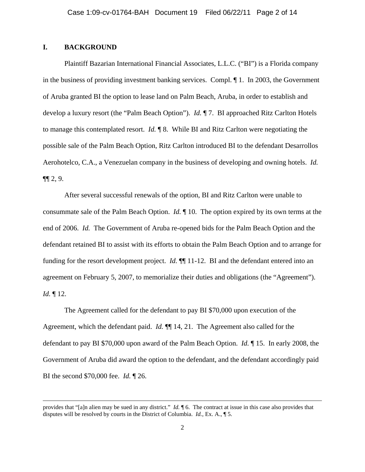## **I. BACKGROUND**

 $\overline{\phantom{a}}$ 

Plaintiff Bazarian International Financial Associates, L.L.C. ("BI") is a Florida company in the business of providing investment banking services. Compl. ¶ 1. In 2003, the Government of Aruba granted BI the option to lease land on Palm Beach, Aruba, in order to establish and develop a luxury resort (the "Palm Beach Option"). *Id.* ¶ 7. BI approached Ritz Carlton Hotels to manage this contemplated resort. *Id.* ¶ 8. While BI and Ritz Carlton were negotiating the possible sale of the Palm Beach Option, Ritz Carlton introduced BI to the defendant Desarrollos Aerohotelco, C.A., a Venezuelan company in the business of developing and owning hotels. *Id.*  $\P\P 2, 9.$ 

After several successful renewals of the option, BI and Ritz Carlton were unable to consummate sale of the Palm Beach Option. *Id.* ¶ 10. The option expired by its own terms at the end of 2006. *Id.* The Government of Aruba re-opened bids for the Palm Beach Option and the defendant retained BI to assist with its efforts to obtain the Palm Beach Option and to arrange for funding for the resort development project. *Id.* ¶¶ 11-12. BI and the defendant entered into an agreement on February 5, 2007, to memorialize their duties and obligations (the "Agreement"). *Id.* ¶ 12.

The Agreement called for the defendant to pay BI \$70,000 upon execution of the Agreement, which the defendant paid. *Id.* ¶¶ 14, 21. The Agreement also called for the defendant to pay BI \$70,000 upon award of the Palm Beach Option. *Id.* ¶ 15. In early 2008, the Government of Aruba did award the option to the defendant, and the defendant accordingly paid BI the second \$70,000 fee. *Id.* ¶ 26.

provides that "[a]n alien may be sued in any district." *Id.* ¶ 6. The contract at issue in this case also provides that disputes will be resolved by courts in the District of Columbia. *Id.*, Ex. A., ¶ 5.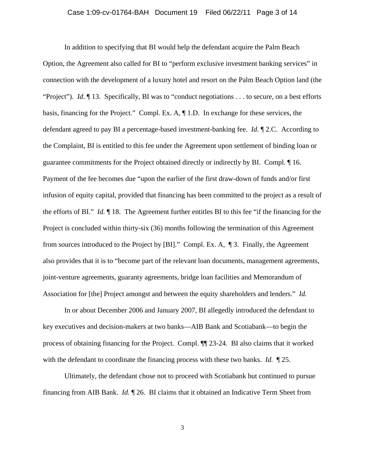## Case 1:09-cv-01764-BAH Document 19 Filed 06/22/11 Page 3 of 14

In addition to specifying that BI would help the defendant acquire the Palm Beach Option, the Agreement also called for BI to "perform exclusive investment banking services" in connection with the development of a luxury hotel and resort on the Palm Beach Option land (the "Project"). *Id.* ¶ 13. Specifically, BI was to "conduct negotiations . . . to secure, on a best efforts basis, financing for the Project." Compl. Ex. A, ¶ 1.D. In exchange for these services, the defendant agreed to pay BI a percentage-based investment-banking fee. *Id.* ¶ 2.C. According to the Complaint, BI is entitled to this fee under the Agreement upon settlement of binding loan or guarantee commitments for the Project obtained directly or indirectly by BI. Compl. ¶ 16. Payment of the fee becomes due "upon the earlier of the first draw-down of funds and/or first infusion of equity capital, provided that financing has been committed to the project as a result of the efforts of BI." *Id.* ¶ 18. The Agreement further entitles BI to this fee "if the financing for the Project is concluded within thirty-six (36) months following the termination of this Agreement from sources introduced to the Project by [BI]." Compl. Ex. A, ¶ 3. Finally, the Agreement also provides that it is to "become part of the relevant loan documents, management agreements, joint-venture agreements, guaranty agreements, bridge loan facilities and Memorandum of Association for [the] Project amongst and between the equity shareholders and lenders." *Id.*

In or about December 2006 and January 2007, BI allegedly introduced the defendant to key executives and decision-makers at two banks—AIB Bank and Scotiabank—to begin the process of obtaining financing for the Project. Compl. ¶¶ 23-24. BI also claims that it worked with the defendant to coordinate the financing process with these two banks. *Id.* ¶ 25.

Ultimately, the defendant chose not to proceed with Scotiabank but continued to pursue financing from AIB Bank. *Id.* ¶ 26. BI claims that it obtained an Indicative Term Sheet from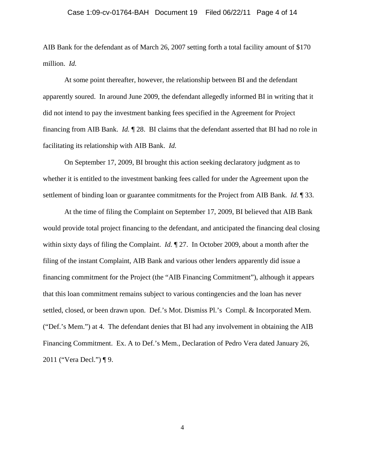## Case 1:09-cv-01764-BAH Document 19 Filed 06/22/11 Page 4 of 14

AIB Bank for the defendant as of March 26, 2007 setting forth a total facility amount of \$170 million. *Id.*

At some point thereafter, however, the relationship between BI and the defendant apparently soured. In around June 2009, the defendant allegedly informed BI in writing that it did not intend to pay the investment banking fees specified in the Agreement for Project financing from AIB Bank. *Id.* ¶ 28. BI claims that the defendant asserted that BI had no role in facilitating its relationship with AIB Bank. *Id.*

On September 17, 2009, BI brought this action seeking declaratory judgment as to whether it is entitled to the investment banking fees called for under the Agreement upon the settlement of binding loan or guarantee commitments for the Project from AIB Bank. *Id.* ¶ 33.

At the time of filing the Complaint on September 17, 2009, BI believed that AIB Bank would provide total project financing to the defendant, and anticipated the financing deal closing within sixty days of filing the Complaint. *Id.* ¶ 27. In October 2009, about a month after the filing of the instant Complaint, AIB Bank and various other lenders apparently did issue a financing commitment for the Project (the "AIB Financing Commitment"), although it appears that this loan commitment remains subject to various contingencies and the loan has never settled, closed, or been drawn upon. Def.'s Mot. Dismiss Pl.'s Compl. & Incorporated Mem. ("Def.'s Mem.") at 4. The defendant denies that BI had any involvement in obtaining the AIB Financing Commitment. Ex. A to Def.'s Mem., Declaration of Pedro Vera dated January 26, 2011 ("Vera Decl.") ¶ 9.

4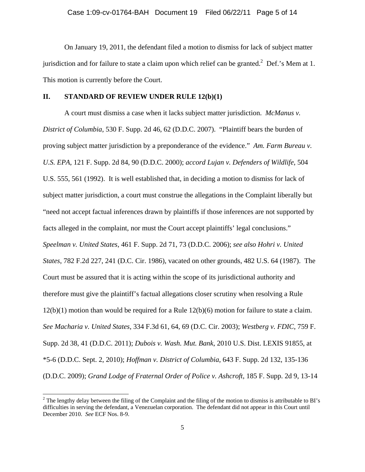On January 19, 2011, the defendant filed a motion to dismiss for lack of subject matter jurisdiction and for failure to state a claim upon which relief can be granted.<sup>2</sup> Def.'s Mem at 1. This motion is currently before the Court.

## **II. STANDARD OF REVIEW UNDER RULE 12(b)(1)**

A court must dismiss a case when it lacks subject matter jurisdiction. *McManus v. District of Columbia*, 530 F. Supp. 2d 46, 62 (D.D.C. 2007). "Plaintiff bears the burden of proving subject matter jurisdiction by a preponderance of the evidence." *Am. Farm Bureau v. U.S. EPA*, 121 F. Supp. 2d 84, 90 (D.D.C. 2000); *accord Lujan v. Defenders of Wildlife*, 504 U.S. 555, 561 (1992). It is well established that, in deciding a motion to dismiss for lack of subject matter jurisdiction, a court must construe the allegations in the Complaint liberally but "need not accept factual inferences drawn by plaintiffs if those inferences are not supported by facts alleged in the complaint, nor must the Court accept plaintiffs' legal conclusions." *Speelman v. United States*, 461 F. Supp. 2d 71, 73 (D.D.C. 2006); *see also Hohri v. United States*, 782 F.2d 227, 241 (D.C. Cir. 1986), vacated on other grounds, 482 U.S. 64 (1987). The Court must be assured that it is acting within the scope of its jurisdictional authority and therefore must give the plaintiff's factual allegations closer scrutiny when resolving a Rule 12(b)(1) motion than would be required for a Rule 12(b)(6) motion for failure to state a claim. *See Macharia v. United States*, 334 F.3d 61, 64, 69 (D.C. Cir. 2003); *Westberg v. FDIC*, 759 F. Supp. 2d 38, 41 (D.D.C. 2011); *Dubois v. Wash. Mut. Bank*, 2010 U.S. Dist. LEXIS 91855, at \*5-6 (D.D.C. Sept. 2, 2010); *Hoffman v. District of Columbia*, 643 F. Supp. 2d 132, 135-136 (D.D.C. 2009); *Grand Lodge of Fraternal Order of Police v. Ashcroft*, 185 F. Supp. 2d 9, 13-14

<sup>&</sup>lt;sup>2</sup> The lengthy delay between the filing of the Complaint and the filing of the motion to dismiss is attributable to BI's difficulties in serving the defendant, a Venezuelan corporation. The defendant did not appear in this Court until December 2010. *See* ECF Nos. 8-9.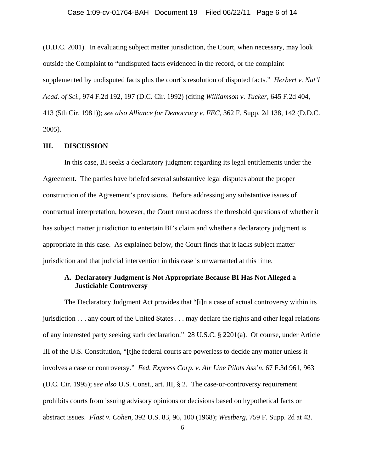## Case 1:09-cv-01764-BAH Document 19 Filed 06/22/11 Page 6 of 14

(D.D.C. 2001). In evaluating subject matter jurisdiction, the Court, when necessary, may look outside the Complaint to "undisputed facts evidenced in the record, or the complaint supplemented by undisputed facts plus the court's resolution of disputed facts." *Herbert v. Nat'l Acad. of Sci.*, 974 F.2d 192, 197 (D.C. Cir. 1992) (citing *Williamson v. Tucker*, 645 F.2d 404, 413 (5th Cir. 1981)); *see also Alliance for Democracy v. FEC*, 362 F. Supp. 2d 138, 142 (D.D.C. 2005).

#### **III. DISCUSSION**

In this case, BI seeks a declaratory judgment regarding its legal entitlements under the Agreement. The parties have briefed several substantive legal disputes about the proper construction of the Agreement's provisions. Before addressing any substantive issues of contractual interpretation, however, the Court must address the threshold questions of whether it has subject matter jurisdiction to entertain BI's claim and whether a declaratory judgment is appropriate in this case. As explained below, the Court finds that it lacks subject matter jurisdiction and that judicial intervention in this case is unwarranted at this time.

## **A. Declaratory Judgment is Not Appropriate Because BI Has Not Alleged a Justiciable Controversy**

 The Declaratory Judgment Act provides that "[i]n a case of actual controversy within its jurisdiction . . . any court of the United States . . . may declare the rights and other legal relations of any interested party seeking such declaration." 28 U.S.C. § 2201(a). Of course, under Article III of the U.S. Constitution, "[t]he federal courts are powerless to decide any matter unless it involves a case or controversy." *Fed. Express Corp. v. Air Line Pilots Ass'n*, 67 F.3d 961, 963 (D.C. Cir. 1995); *see also* U.S. Const., art. III, § 2. The case-or-controversy requirement prohibits courts from issuing advisory opinions or decisions based on hypothetical facts or abstract issues. *Flast v. Cohen*, 392 U.S. 83, 96, 100 (1968); *Westberg*, 759 F. Supp. 2d at 43.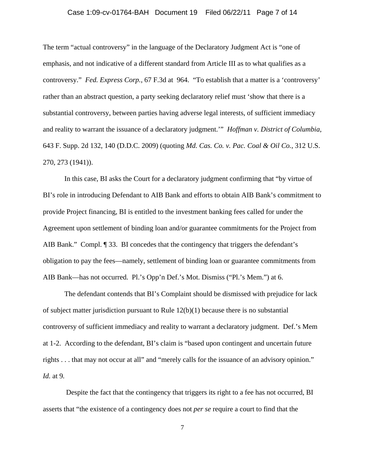## Case 1:09-cv-01764-BAH Document 19 Filed 06/22/11 Page 7 of 14

The term "actual controversy" in the language of the Declaratory Judgment Act is "one of emphasis, and not indicative of a different standard from Article III as to what qualifies as a controversy." *Fed. Express Corp.,* 67 F.3d at 964. "To establish that a matter is a 'controversy' rather than an abstract question, a party seeking declaratory relief must 'show that there is a substantial controversy, between parties having adverse legal interests, of sufficient immediacy and reality to warrant the issuance of a declaratory judgment.'" *Hoffman v. District of Columbia*, 643 F. Supp. 2d 132, 140 (D.D.C. 2009) (quoting *Md. Cas. Co. v. Pac. Coal & Oil Co.*, 312 U.S. 270, 273 (1941)).

In this case, BI asks the Court for a declaratory judgment confirming that "by virtue of BI's role in introducing Defendant to AIB Bank and efforts to obtain AIB Bank's commitment to provide Project financing, BI is entitled to the investment banking fees called for under the Agreement upon settlement of binding loan and/or guarantee commitments for the Project from AIB Bank." Compl. ¶ 33. BI concedes that the contingency that triggers the defendant's obligation to pay the fees—namely, settlement of binding loan or guarantee commitments from AIB Bank—has not occurred. Pl.'s Opp'n Def.'s Mot. Dismiss ("Pl.'s Mem.") at 6.

The defendant contends that BI's Complaint should be dismissed with prejudice for lack of subject matter jurisdiction pursuant to Rule  $12(b)(1)$  because there is no substantial controversy of sufficient immediacy and reality to warrant a declaratory judgment. Def.'s Mem at 1-2. According to the defendant, BI's claim is "based upon contingent and uncertain future rights . . . that may not occur at all" and "merely calls for the issuance of an advisory opinion." *Id.* at 9*.* 

 Despite the fact that the contingency that triggers its right to a fee has not occurred, BI asserts that "the existence of a contingency does not *per se* require a court to find that the

7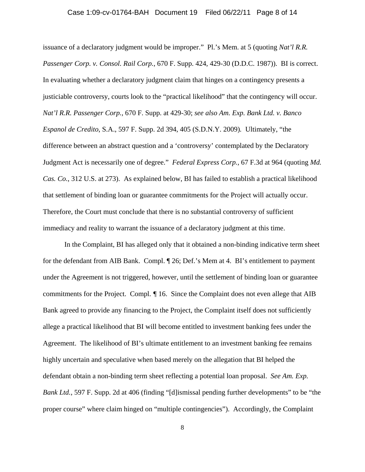#### Case 1:09-cv-01764-BAH Document 19 Filed 06/22/11 Page 8 of 14

issuance of a declaratory judgment would be improper." Pl.'s Mem. at 5 (quoting *Nat'l R.R. Passenger Corp. v. Consol. Rail Corp.*, 670 F. Supp. 424, 429-30 (D.D.C. 1987)). BI is correct. In evaluating whether a declaratory judgment claim that hinges on a contingency presents a justiciable controversy, courts look to the "practical likelihood" that the contingency will occur. *Nat'l R.R. Passenger Corp.*, 670 F. Supp. at 429-30; *see also Am. Exp. Bank Ltd. v. Banco Espanol de Credito*, S.A., 597 F. Supp. 2d 394, 405 (S.D.N.Y. 2009)*.* Ultimately, "the difference between an abstract question and a 'controversy' contemplated by the Declaratory Judgment Act is necessarily one of degree." *Federal Express Corp.,* 67 F.3d at 964 (quoting *Md. Cas. Co.*, 312 U.S. at 273). As explained below, BI has failed to establish a practical likelihood that settlement of binding loan or guarantee commitments for the Project will actually occur. Therefore, the Court must conclude that there is no substantial controversy of sufficient immediacy and reality to warrant the issuance of a declaratory judgment at this time.

In the Complaint, BI has alleged only that it obtained a non-binding indicative term sheet for the defendant from AIB Bank. Compl. ¶ 26; Def.'s Mem at 4. BI's entitlement to payment under the Agreement is not triggered, however, until the settlement of binding loan or guarantee commitments for the Project. Compl. *¶* 16. Since the Complaint does not even allege that AIB Bank agreed to provide any financing to the Project, the Complaint itself does not sufficiently allege a practical likelihood that BI will become entitled to investment banking fees under the Agreement. The likelihood of BI's ultimate entitlement to an investment banking fee remains highly uncertain and speculative when based merely on the allegation that BI helped the defendant obtain a non-binding term sheet reflecting a potential loan proposal. *See Am. Exp. Bank Ltd.*, 597 F. Supp. 2d at 406 (finding "[d]ismissal pending further developments" to be "the proper course" where claim hinged on "multiple contingencies"). Accordingly, the Complaint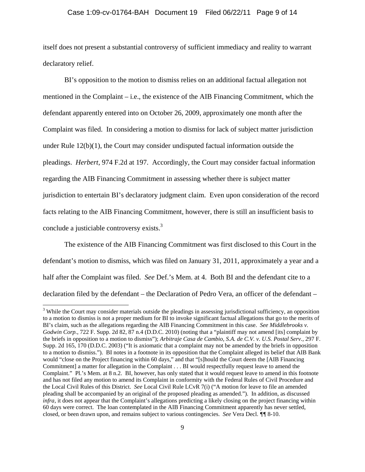## Case 1:09-cv-01764-BAH Document 19 Filed 06/22/11 Page 9 of 14

itself does not present a substantial controversy of sufficient immediacy and reality to warrant declaratory relief.

BI's opposition to the motion to dismiss relies on an additional factual allegation not mentioned in the Complaint – i.e., the existence of the AIB Financing Commitment, which the defendant apparently entered into on October 26, 2009, approximately one month after the Complaint was filed. In considering a motion to dismiss for lack of subject matter jurisdiction under Rule  $12(b)(1)$ , the Court may consider undisputed factual information outside the pleadings. *Herbert*, 974 F.2d at 197. Accordingly, the Court may consider factual information regarding the AIB Financing Commitment in assessing whether there is subject matter jurisdiction to entertain BI's declaratory judgment claim. Even upon consideration of the record facts relating to the AIB Financing Commitment, however, there is still an insufficient basis to conclude a justiciable controversy exists.<sup>3</sup>

The existence of the AIB Financing Commitment was first disclosed to this Court in the defendant's motion to dismiss, which was filed on January 31, 2011, approximately a year and a half after the Complaint was filed. *See* Def.'s Mem. at 4. Both BI and the defendant cite to a declaration filed by the defendant – the Declaration of Pedro Vera, an officer of the defendant –

l

<sup>&</sup>lt;sup>3</sup> While the Court may consider materials outside the pleadings in assessing jurisdictional sufficiency, an opposition to a motion to dismiss is not a proper medium for BI to invoke significant factual allegations that go to the merits of BI's claim, such as the allegations regarding the AIB Financing Commitment in this case. *See Middlebrooks v. Godwin Corp.*, 722 F. Supp. 2d 82, 87 n.4 (D.D.C. 2010) (noting that a "plaintiff may not amend [its] complaint by the briefs in opposition to a motion to dismiss"); *Arbitraje Casa de Cambio, S.A. de C.V. v. U.S. Postal Serv.,* 297 F. Supp. 2d 165, 170 (D.D.C. 2003) ("It is axiomatic that a complaint may not be amended by the briefs in opposition to a motion to dismiss."). BI notes in a footnote in its opposition that the Complaint alleged its belief that AIB Bank would "close on the Project financing within 60 days," and that "[s]hould the Court deem the [AIB Financing Commitment] a matter for allegation in the Complaint . . . BI would respectfully request leave to amend the Complaint." Pl.'s Mem. at 8 n.2. BI, however, has only stated that it would request leave to amend in this footnote and has not filed any motion to amend its Complaint in conformity with the Federal Rules of Civil Procedure and the Local Civil Rules of this District. *See* Local Civil Rule LCvR 7(i) ("A motion for leave to file an amended pleading shall be accompanied by an original of the proposed pleading as amended."). In addition, as discussed *infra*, it does not appear that the Complaint's allegations predicting a likely closing on the project financing within 60 days were correct. The loan contemplated in the AIB Financing Commitment apparently has never settled, closed, or been drawn upon, and remains subject to various contingencies. *See* Vera Decl. *¶¶* 8-10.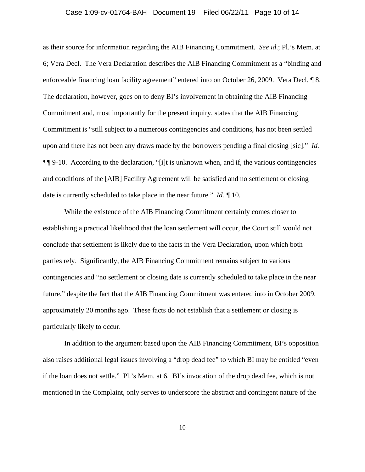## Case 1:09-cv-01764-BAH Document 19 Filed 06/22/11 Page 10 of 14

as their source for information regarding the AIB Financing Commitment. *See id*.; Pl.'s Mem. at 6; Vera Decl. The Vera Declaration describes the AIB Financing Commitment as a "binding and enforceable financing loan facility agreement" entered into on October 26, 2009. Vera Decl. ¶ 8. The declaration, however, goes on to deny BI's involvement in obtaining the AIB Financing Commitment and, most importantly for the present inquiry, states that the AIB Financing Commitment is "still subject to a numerous contingencies and conditions, has not been settled upon and there has not been any draws made by the borrowers pending a final closing [sic]." *Id. ¶¶* 9-10. According to the declaration, "[i]t is unknown when, and if, the various contingencies and conditions of the [AIB] Facility Agreement will be satisfied and no settlement or closing date is currently scheduled to take place in the near future." *Id. ¶* 10.

While the existence of the AIB Financing Commitment certainly comes closer to establishing a practical likelihood that the loan settlement will occur, the Court still would not conclude that settlement is likely due to the facts in the Vera Declaration, upon which both parties rely. Significantly, the AIB Financing Commitment remains subject to various contingencies and "no settlement or closing date is currently scheduled to take place in the near future," despite the fact that the AIB Financing Commitment was entered into in October 2009, approximately 20 months ago. These facts do not establish that a settlement or closing is particularly likely to occur.

In addition to the argument based upon the AIB Financing Commitment, BI's opposition also raises additional legal issues involving a "drop dead fee" to which BI may be entitled "even if the loan does not settle." Pl.'s Mem. at 6. BI's invocation of the drop dead fee, which is not mentioned in the Complaint, only serves to underscore the abstract and contingent nature of the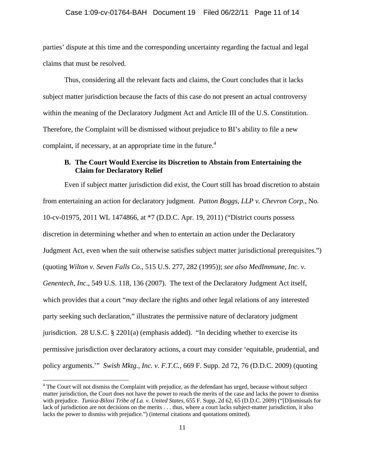## Case 1:09-cv-01764-BAH Document 19 Filed 06/22/11 Page 11 of 14

parties' dispute at this time and the corresponding uncertainty regarding the factual and legal claims that must be resolved.

Thus, considering all the relevant facts and claims, the Court concludes that it lacks subject matter jurisdiction because the facts of this case do not present an actual controversy within the meaning of the Declaratory Judgment Act and Article III of the U.S. Constitution. Therefore, the Complaint will be dismissed without prejudice to BI's ability to file a new complaint, if necessary, at an appropriate time in the future. $4$ 

## **B. The Court Would Exercise its Discretion to Abstain from Entertaining the Claim for Declaratory Relief**

Even if subject matter jurisdiction did exist, the Court still has broad discretion to abstain from entertaining an action for declaratory judgment. *Patton Boggs, LLP v. Chevron Corp.*, No. 10-cv-01975, 2011 WL 1474866, at \*7 (D.D.C. Apr. 19, 2011) ("District courts possess discretion in determining whether and when to entertain an action under the Declaratory Judgment Act, even when the suit otherwise satisfies subject matter jurisdictional prerequisites.") (quoting *Wilton v. Seven Falls Co*., 515 U.S. 277, 282 (1995)); *see also MedImmune, Inc. v. Genentech, Inc*., 549 U.S. 118, 136 (2007). The text of the Declaratory Judgment Act itself, which provides that a court "*may* declare the rights and other legal relations of any interested party seeking such declaration," illustrates the permissive nature of declaratory judgment jurisdiction. 28 U.S.C. § 2201(a) (emphasis added). "In deciding whether to exercise its permissive jurisdiction over declaratory actions, a court may consider 'equitable, prudential, and policy arguments.'" *Swish Mktg., Inc. v. F.T.C.*, 669 F. Supp. 2d 72, 76 (D.D.C. 2009) (quoting

 $\overline{\phantom{a}}$ 

 $4$  The Court will not dismiss the Complaint with prejudice, as the defendant has urged, because without subject matter jurisdiction, the Court does not have the power to reach the merits of the case and lacks the power to dismiss with prejudice. *Tunica-Biloxi Tribe of La. v. United States*, 655 F. Supp. 2d 62, 65 (D.D.C. 2009) ("[D]ismissals for lack of jurisdiction are not decisions on the merits ... thus, where a court lacks subject-matter jurisdiction, it also lacks the power to dismiss with prejudice.") (internal citations and quotations omitted).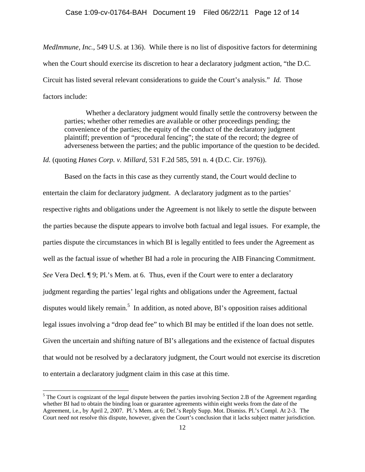### Case 1:09-cv-01764-BAH Document 19 Filed 06/22/11 Page 12 of 14

*MedImmune, Inc.*, 549 U.S. at 136). While there is no list of dispositive factors for determining when the Court should exercise its discretion to hear a declaratory judgment action, "the D.C. Circuit has listed several relevant considerations to guide the Court's analysis." *Id.* Those factors include:

Whether a declaratory judgment would finally settle the controversy between the parties; whether other remedies are available or other proceedings pending; the convenience of the parties; the equity of the conduct of the declaratory judgment plaintiff; prevention of "procedural fencing"; the state of the record; the degree of adverseness between the parties; and the public importance of the question to be decided.

*Id.* (quoting *Hanes Corp. v. Millard*, 531 F.2d 585, 591 n. 4 (D.C. Cir. 1976)).

Based on the facts in this case as they currently stand, the Court would decline to entertain the claim for declaratory judgment. A declaratory judgment as to the parties' respective rights and obligations under the Agreement is not likely to settle the dispute between the parties because the dispute appears to involve both factual and legal issues. For example, the parties dispute the circumstances in which BI is legally entitled to fees under the Agreement as well as the factual issue of whether BI had a role in procuring the AIB Financing Commitment. *See* Vera Decl. ¶ 9; Pl.'s Mem. at 6. Thus, even if the Court were to enter a declaratory judgment regarding the parties' legal rights and obligations under the Agreement, factual disputes would likely remain.<sup>5</sup> In addition, as noted above, BI's opposition raises additional legal issues involving a "drop dead fee" to which BI may be entitled if the loan does not settle. Given the uncertain and shifting nature of BI's allegations and the existence of factual disputes that would not be resolved by a declaratory judgment, the Court would not exercise its discretion to entertain a declaratory judgment claim in this case at this time.

 $\overline{\phantom{a}}$ 

 $<sup>5</sup>$  The Court is cognizant of the legal dispute between the parties involving Section 2.B of the Agreement regarding</sup> whether BI had to obtain the binding loan or guarantee agreements within eight weeks from the date of the Agreement, i.e., by April 2, 2007. Pl.'s Mem. at 6; Def.'s Reply Supp. Mot. Dismiss. Pl.'s Compl. At 2-3. The Court need not resolve this dispute, however, given the Court's conclusion that it lacks subject matter jurisdiction.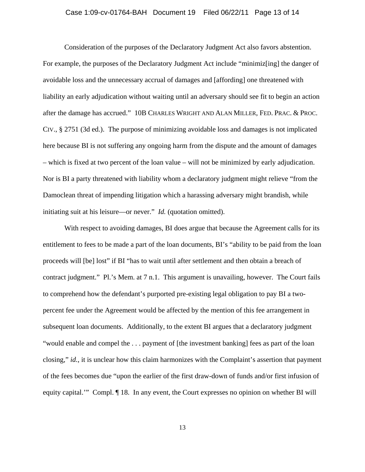## Case 1:09-cv-01764-BAH Document 19 Filed 06/22/11 Page 13 of 14

Consideration of the purposes of the Declaratory Judgment Act also favors abstention. For example, the purposes of the Declaratory Judgment Act include "minimiz[ing] the danger of avoidable loss and the unnecessary accrual of damages and [affording] one threatened with liability an early adjudication without waiting until an adversary should see fit to begin an action after the damage has accrued." 10B CHARLES WRIGHT AND ALAN MILLER, FED. PRAC. & PROC. CIV., § 2751 (3d ed.). The purpose of minimizing avoidable loss and damages is not implicated here because BI is not suffering any ongoing harm from the dispute and the amount of damages – which is fixed at two percent of the loan value – will not be minimized by early adjudication. Nor is BI a party threatened with liability whom a declaratory judgment might relieve "from the Damoclean threat of impending litigation which a harassing adversary might brandish, while initiating suit at his leisure—or never." *Id.* (quotation omitted).

With respect to avoiding damages, BI does argue that because the Agreement calls for its entitlement to fees to be made a part of the loan documents, BI's "ability to be paid from the loan proceeds will [be] lost" if BI "has to wait until after settlement and then obtain a breach of contract judgment." Pl.'s Mem. at 7 n.1. This argument is unavailing, however. The Court fails to comprehend how the defendant's purported pre-existing legal obligation to pay BI a twopercent fee under the Agreement would be affected by the mention of this fee arrangement in subsequent loan documents. Additionally, to the extent BI argues that a declaratory judgment "would enable and compel the . . . payment of [the investment banking] fees as part of the loan closing," *id.*, it is unclear how this claim harmonizes with the Complaint's assertion that payment of the fees becomes due "upon the earlier of the first draw-down of funds and/or first infusion of equity capital.'" Compl. ¶ 18. In any event, the Court expresses no opinion on whether BI will